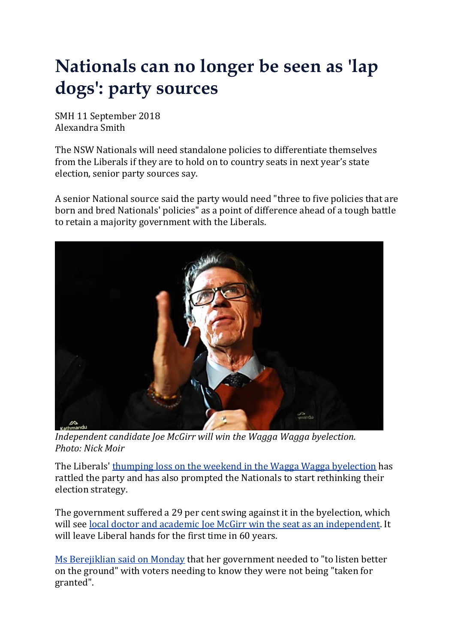## **Nationals can no longer be seen as 'lap dogs': party sources**

SMH 11 September 2018 Alexandra Smith

The NSW Nationals will need standalone policies to differentiate themselves from the Liberals if they are to hold on to country seats in next year's state election, senior party sources say.

A senior National source said the party would need "three to five policies that are born and bred Nationals' policies" as a point of difference ahead of a tough battle to retain a majority government with the Liberals.



*Independent candidate Joe McGirr will win the Wagga Wagga byelection. Photo: Nick Moir*

The Liberals' thumping loss on the weekend in the Wagga Wagga [byelection](https://www.smh.com.au/politics/nsw/independent-joe-mcgirr-on-track-for-historic-wagga-win-20180908-p502kz.html) has rattled the party and has also prompted the Nationals to start rethinking their election strategy.

The government suffered a 29 per cent swing against it in the byelection, which will see local doctor and academic Joe McGirr win the seat as an [independent.](https://www.smh.com.au/link/follow-20170101-p502kz) It will leave Liberal hands for the first time in 60 years.

Ms [Berejiklian](https://www.smh.com.au/link/follow-20170101-57ws0) said on Monday that her government needed to "to listen better on the ground" with voters needing to know they were not being "taken for granted".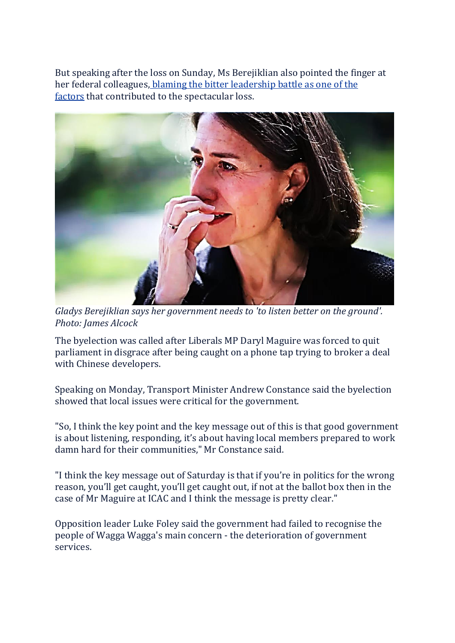But speaking after the loss on Sunday, Ms Berejiklian also pointed the finger at her federal colleagues, blaming the bitter [leadership](https://www.smh.com.au/link/follow-20170101-p4zzjz) battle as one of the [factors](https://www.smh.com.au/link/follow-20170101-p4zzjz) that contributed to the spectacular loss.



*Gladys Berejiklian says her government needs to 'to listen better on the ground'. Photo: James Alcock*

The byelection was called after Liberals MP Daryl Maguire was forced to quit parliament in disgrace after being caught on a phone tap trying to broker a deal with Chinese developers.

Speaking on Monday, Transport Minister Andrew Constance said the byelection showed that local issues were critical for the government.

"So, I think the key point and the key message out of this is that good government is about listening, responding, it's about having local members prepared to work damn hard for their communities," Mr Constance said.

"I think the key message out of Saturday is that if you're in politics for the wrong reason, you'll get caught, you'll get caught out, if not at the ballot box then in the case of Mr Maguire at ICAC and I think the message is pretty clear."

Opposition leader Luke Foley said the government had failed to recognise the people of Wagga Wagga's main concern - the deterioration of government services.